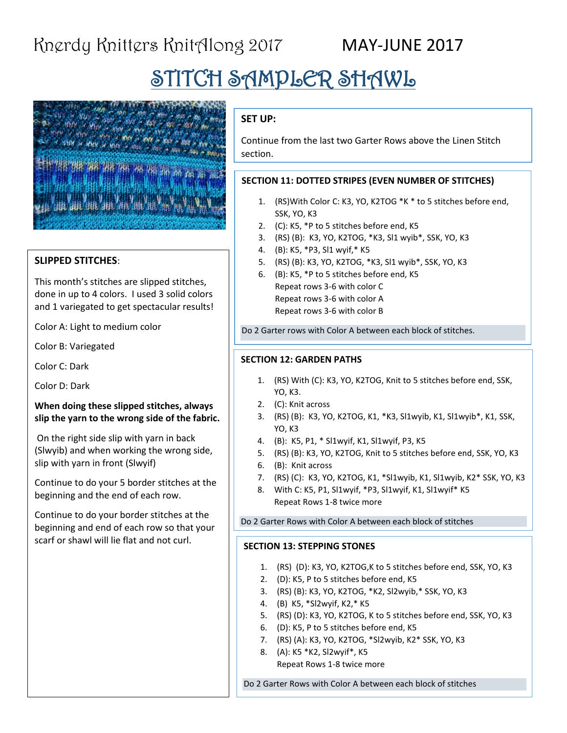## STITCH SAMPLER SHAWL



#### **SLIPPED STITCHES**:

This month's stitches are slipped stitches, done in up to 4 colors. I used 3 solid colors and 1 variegated to get spectacular results!

Color A: Light to medium color

Color B: Variegated

Color C: Dark

Color D: Dark

#### **When doing these slipped stitches, always slip the yarn to the wrong side of the fabric.**

On the right side slip with yarn in back (Slwyib) and when working the wrong side, slip with yarn in front (Slwyif)

Continue to do your 5 border stitches at the beginning and the end of each row.

Continue to do your border stitches at the beginning and end of each row so that your scarf or shawl will lie flat and not curl.

### **SET UP:**

Continue from the last two Garter Rows above the Linen Stitch section.

#### **SECTION 11: DOTTED STRIPES (EVEN NUMBER OF STITCHES)**

- 1. (RS)With Color C: K3, YO, K2TOG \*K \* to 5 stitches before end, SSK, YO, K3
- 2. (C): K5, \*P to 5 stitches before end, K5
- 3. (RS) (B): K3, YO, K2TOG, \*K3, Sl1 wyib\*, SSK, YO, K3
- 4. (B): K5, \*P3, Sl1 wyif,\* K5
- 5. (RS) (B): K3, YO, K2TOG, \*K3, Sl1 wyib\*, SSK, YO, K3
- 6. (B): K5, \*P to 5 stitches before end, K5 Repeat rows 3-6 with color C Repeat rows 3-6 with color A Repeat rows 3-6 with color B

Do 2 Garter rows with Color A between each block of stitches.

#### **SECTION 12: GARDEN PATHS**

- 1. (RS) With (C): K3, YO, K2TOG, Knit to 5 stitches before end, SSK, YO, K3.
- 2. (C): Knit across
- 3. (RS) (B): K3, YO, K2TOG, K1, \*K3, Sl1wyib, K1, Sl1wyib\*, K1, SSK, YO, K3
- 4. (B): K5, P1, \* Sl1wyif, K1, Sl1wyif, P3, K5
- 5. (RS) (B): K3, YO, K2TOG, Knit to 5 stitches before end, SSK, YO, K3
- 6. (B): Knit across
- 7. (RS) (C): K3, YO, K2TOG, K1, \*Sl1wyib, K1, Sl1wyib, K2\* SSK, YO, K3
- 8. With C: K5, P1, Sl1wyif, \*P3, Sl1wyif, K1, Sl1wyif\* K5 Repeat Rows 1-8 twice more

Do 2 Garter Rows with Color A between each block of stitches

#### **SECTION 13: STEPPING STONES**

- 1. (RS) (D): K3, YO, K2TOG,K to 5 stitches before end, SSK, YO, K3
- 2. (D): K5, P to 5 stitches before end, K5
- 3. (RS) (B): K3, YO, K2TOG, \*K2, Sl2wyib,\* SSK, YO, K3
- 4. (B) K5, \*Sl2wyif, K2,\* K5
- 5. (RS) (D): K3, YO, K2TOG, K to 5 stitches before end, SSK, YO, K3
- 6. (D): K5, P to 5 stitches before end, K5
- 7. (RS) (A): K3, YO, K2TOG, \*Sl2wyib, K2\* SSK, YO, K3
- 8. (A): K5 \*K2, Sl2wyif\*, K5 Repeat Rows 1-8 twice more

Do 2 Garter Rows with Color A between each block of stitches